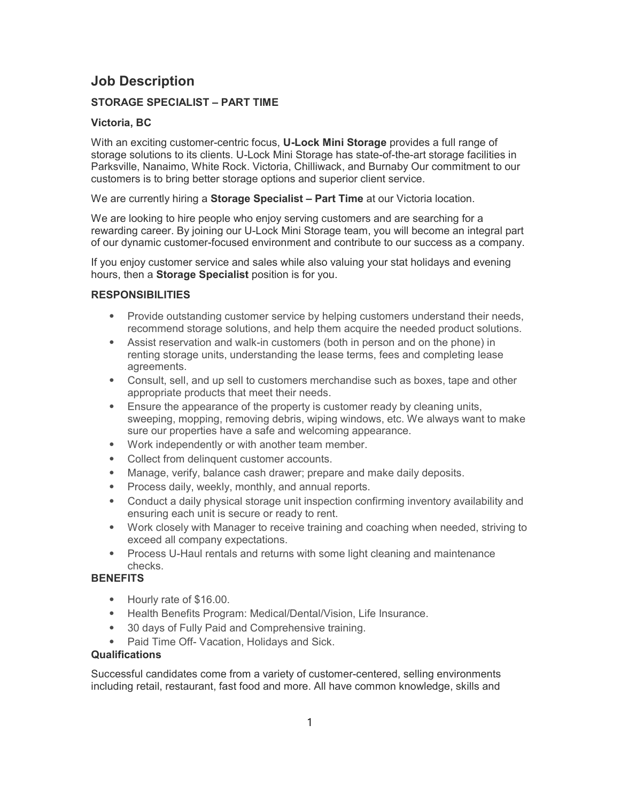# Job Description

## STORAGE SPECIALIST – PART TIME

### Victoria, BC

With an exciting customer-centric focus, **U-Lock Mini Storage** provides a full range of storage solutions to its clients. U-Lock Mini Storage has state-of-the-art storage facilities in Parksville, Nanaimo, White Rock. Victoria, Chilliwack, and Burnaby Our commitment to our customers is to bring better storage options and superior client service.

We are currently hiring a **Storage Specialist – Part Time** at our Victoria location.

We are looking to hire people who enjoy serving customers and are searching for a rewarding career. By joining our U-Lock Mini Storage team, you will become an integral part of our dynamic customer-focused environment and contribute to our success as a company.

If you enjoy customer service and sales while also valuing your stat holidays and evening hours, then a Storage Specialist position is for you.

### RESPONSIBILITIES

- ⦁ Provide outstanding customer service by helping customers understand their needs, recommend storage solutions, and help them acquire the needed product solutions.
- ⦁ Assist reservation and walk-in customers (both in person and on the phone) in renting storage units, understanding the lease terms, fees and completing lease agreements.
- ⦁ Consult, sell, and up sell to customers merchandise such as boxes, tape and other appropriate products that meet their needs.
- ⦁ Ensure the appearance of the property is customer ready by cleaning units, sweeping, mopping, removing debris, wiping windows, etc. We always want to make sure our properties have a safe and welcoming appearance.
- ⦁ Work independently or with another team member.
- ⦁ Collect from delinquent customer accounts.
- ⦁ Manage, verify, balance cash drawer; prepare and make daily deposits.
- ⦁ Process daily, weekly, monthly, and annual reports.
- ⦁ Conduct a daily physical storage unit inspection confirming inventory availability and ensuring each unit is secure or ready to rent.
- ⦁ Work closely with Manager to receive training and coaching when needed, striving to exceed all company expectations.
- Process U-Haul rentals and returns with some light cleaning and maintenance checks.

### **BENEFITS**

- ⦁ Hourly rate of \$16.00.
- ⦁ Health Benefits Program: Medical/Dental/Vision, Life Insurance.
- ⦁ 30 days of Fully Paid and Comprehensive training.
- Paid Time Off- Vacation, Holidays and Sick.

#### Qualifications

Successful candidates come from a variety of customer-centered, selling environments including retail, restaurant, fast food and more. All have common knowledge, skills and